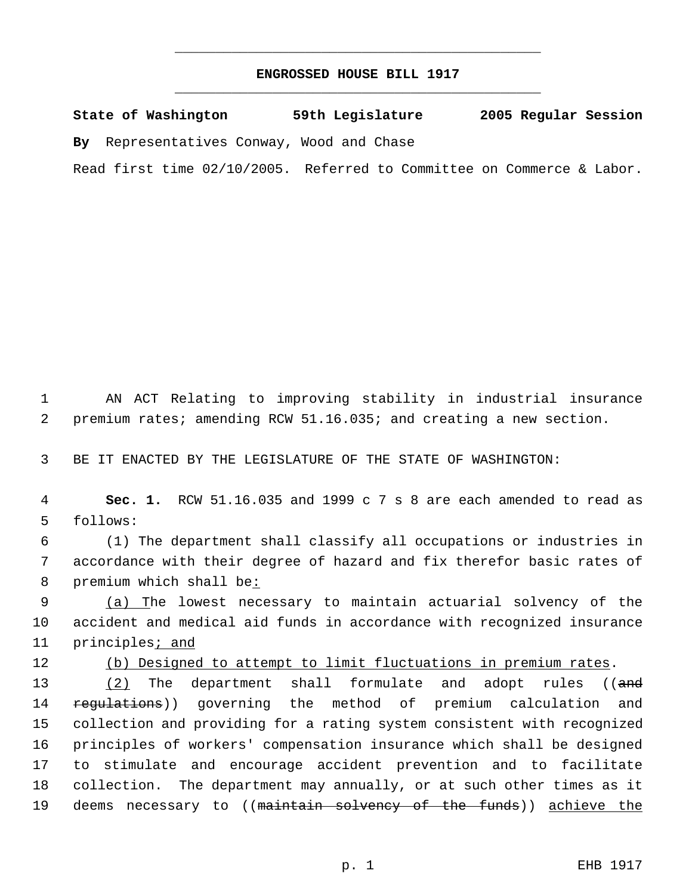## **ENGROSSED HOUSE BILL 1917** \_\_\_\_\_\_\_\_\_\_\_\_\_\_\_\_\_\_\_\_\_\_\_\_\_\_\_\_\_\_\_\_\_\_\_\_\_\_\_\_\_\_\_\_\_

\_\_\_\_\_\_\_\_\_\_\_\_\_\_\_\_\_\_\_\_\_\_\_\_\_\_\_\_\_\_\_\_\_\_\_\_\_\_\_\_\_\_\_\_\_

**State of Washington 59th Legislature 2005 Regular Session By** Representatives Conway, Wood and Chase Read first time 02/10/2005. Referred to Committee on Commerce & Labor.

 1 AN ACT Relating to improving stability in industrial insurance 2 premium rates; amending RCW 51.16.035; and creating a new section.

3 BE IT ENACTED BY THE LEGISLATURE OF THE STATE OF WASHINGTON:

 4 **Sec. 1.** RCW 51.16.035 and 1999 c 7 s 8 are each amended to read as 5 follows:

 6 (1) The department shall classify all occupations or industries in 7 accordance with their degree of hazard and fix therefor basic rates of 8 premium which shall be:

9 (a) The lowest necessary to maintain actuarial solvency of the 10 accident and medical aid funds in accordance with recognized insurance 11 principles<sub>i</sub> and

12 (b) Designed to attempt to limit fluctuations in premium rates.

13 (2) The department shall formulate and adopt rules ((and 14 regulations)) governing the method of premium calculation and 15 collection and providing for a rating system consistent with recognized 16 principles of workers' compensation insurance which shall be designed 17 to stimulate and encourage accident prevention and to facilitate 18 collection. The department may annually, or at such other times as it 19 deems necessary to ((maintain solvency of the funds)) achieve the